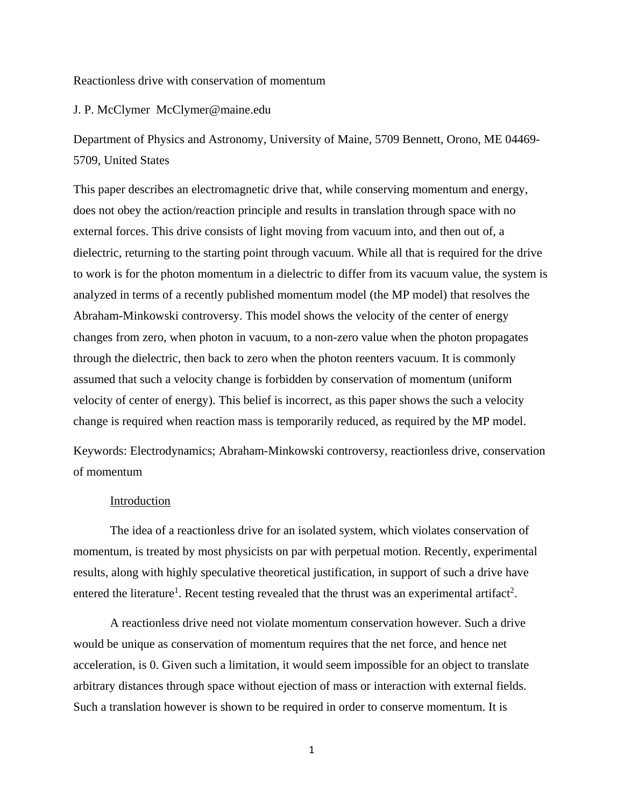Reactionless drive with conservation of momentum

#### J. P. McClymer McClymer@maine.edu

Department of Physics and Astronomy, University of Maine, 5709 Bennett, Orono, ME 04469- 5709, United States

This paper describes an electromagnetic drive that, while conserving momentum and energy, does not obey the action/reaction principle and results in translation through space with no external forces. This drive consists of light moving from vacuum into, and then out of, a dielectric, returning to the starting point through vacuum. While all that is required for the drive to work is for the photon momentum in a dielectric to differ from its vacuum value, the system is analyzed in terms of a recently published momentum model (the MP model) that resolves the Abraham-Minkowski controversy. This model shows the velocity of the center of energy changes from zero, when photon in vacuum, to a non-zero value when the photon propagates through the dielectric, then back to zero when the photon reenters vacuum. It is commonly assumed that such a velocity change is forbidden by conservation of momentum (uniform velocity of center of energy). This belief is incorrect, as this paper shows the such a velocity change is required when reaction mass is temporarily reduced, as required by the MP model.

Keywords: Electrodynamics; Abraham-Minkowski controversy, reactionless drive, conservation of momentum

# Introduction

The idea of a reactionless drive for an isolated system, which violates conservation of momentum, is treated by most physicists on par with perpetual motion. Recently, experimental results, along with highly speculative theoretical justification, in support of such a drive have entered the literature<sup>1</sup>. Recent testing revealed that the thrust was an experimental artifact<sup>2</sup>.

A reactionless drive need not violate momentum conservation however. Such a drive would be unique as conservation of momentum requires that the net force, and hence net acceleration, is 0. Given such a limitation, it would seem impossible for an object to translate arbitrary distances through space without ejection of mass or interaction with external fields. Such a translation however is shown to be required in order to conserve momentum. It is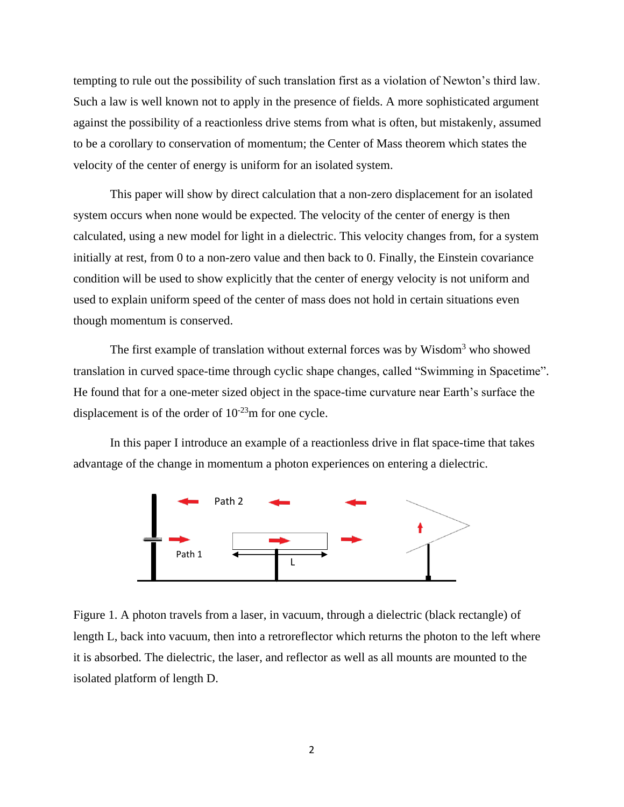tempting to rule out the possibility of such translation first as a violation of Newton's third law. Such a law is well known not to apply in the presence of fields. A more sophisticated argument against the possibility of a reactionless drive stems from what is often, but mistakenly, assumed to be a corollary to conservation of momentum; the Center of Mass theorem which states the velocity of the center of energy is uniform for an isolated system.

This paper will show by direct calculation that a non-zero displacement for an isolated system occurs when none would be expected. The velocity of the center of energy is then calculated, using a new model for light in a dielectric. This velocity changes from, for a system initially at rest, from 0 to a non-zero value and then back to 0. Finally, the Einstein covariance condition will be used to show explicitly that the center of energy velocity is not uniform and used to explain uniform speed of the center of mass does not hold in certain situations even though momentum is conserved.

The first example of translation without external forces was by Wisdom<sup>3</sup> who showed translation in curved space-time through cyclic shape changes, called "Swimming in Spacetime". He found that for a one-meter sized object in the space-time curvature near Earth's surface the displacement is of the order of  $10^{-23}$ m for one cycle.

In this paper I introduce an example of a reactionless drive in flat space-time that takes advantage of the change in momentum a photon experiences on entering a dielectric.



Figure 1. A photon travels from a laser, in vacuum, through a dielectric (black rectangle) of length L, back into vacuum, then into a retroreflector which returns the photon to the left where it is absorbed. The dielectric, the laser, and reflector as well as all mounts are mounted to the isolated platform of length D.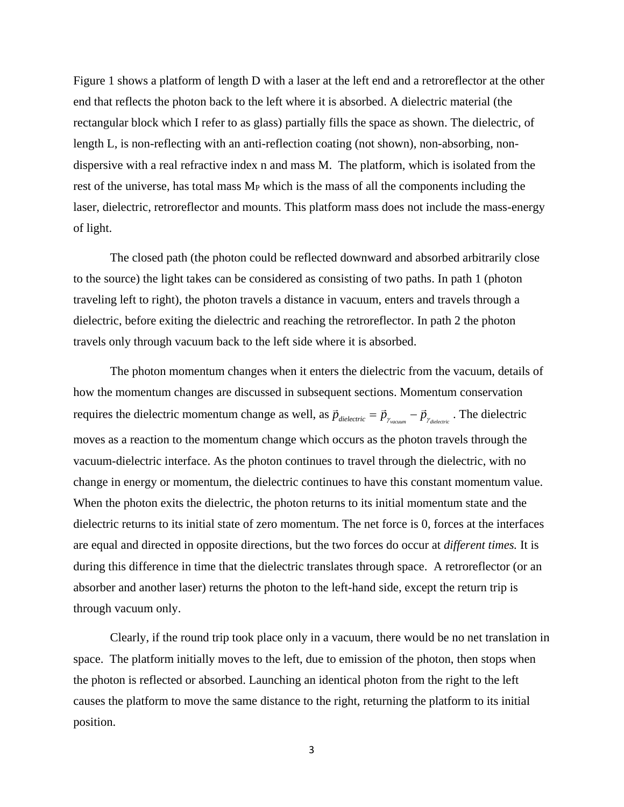Figure 1 shows a platform of length D with a laser at the left end and a retroreflector at the other end that reflects the photon back to the left where it is absorbed. A dielectric material (the rectangular block which I refer to as glass) partially fills the space as shown. The dielectric, of length L, is non-reflecting with an anti-reflection coating (not shown), non-absorbing, nondispersive with a real refractive index n and mass M. The platform, which is isolated from the rest of the universe, has total mass  $M_P$  which is the mass of all the components including the laser, dielectric, retroreflector and mounts. This platform mass does not include the mass-energy of light.

The closed path (the photon could be reflected downward and absorbed arbitrarily close to the source) the light takes can be considered as consisting of two paths. In path 1 (photon traveling left to right), the photon travels a distance in vacuum, enters and travels through a dielectric, before exiting the dielectric and reaching the retroreflector. In path 2 the photon travels only through vacuum back to the left side where it is absorbed.

The photon momentum changes when it enters the dielectric from the vacuum, details of how the momentum changes are discussed in subsequent sections. Momentum conservation requires the dielectric momentum change as well, as  $\vec{p}_{\text{dielectric}} = \vec{p}_{\gamma_{\text{vacuum}}} - \vec{p}_{\gamma_{\text{dielectric}}}$ . The dielectric moves as a reaction to the momentum change which occurs as the photon travels through the vacuum-dielectric interface. As the photon continues to travel through the dielectric, with no change in energy or momentum, the dielectric continues to have this constant momentum value. When the photon exits the dielectric, the photon returns to its initial momentum state and the dielectric returns to its initial state of zero momentum. The net force is 0, forces at the interfaces are equal and directed in opposite directions, but the two forces do occur at *different times.* It is during this difference in time that the dielectric translates through space. A retroreflector (or an absorber and another laser) returns the photon to the left-hand side, except the return trip is through vacuum only.

Clearly, if the round trip took place only in a vacuum, there would be no net translation in space. The platform initially moves to the left, due to emission of the photon, then stops when the photon is reflected or absorbed. Launching an identical photon from the right to the left causes the platform to move the same distance to the right, returning the platform to its initial position.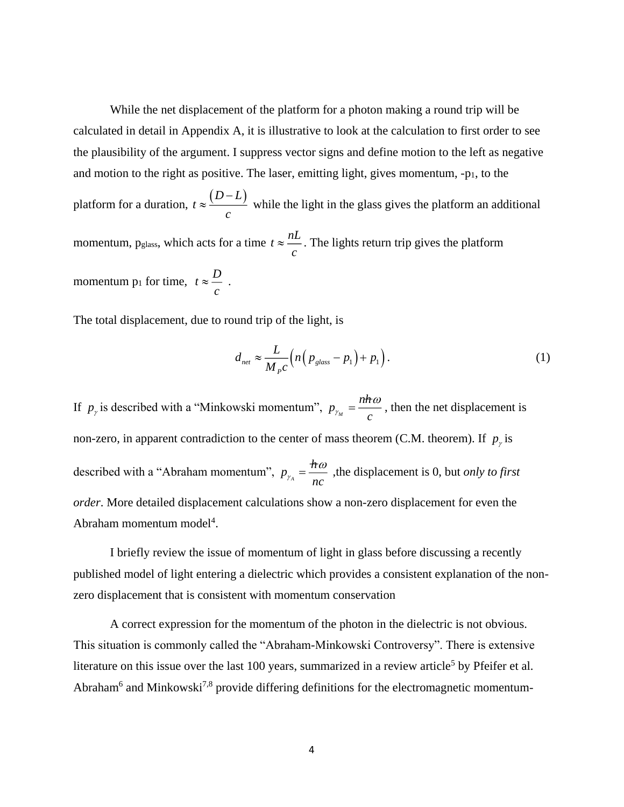While the net displacement of the platform for a photon making a round trip will be calculated in detail in Appendix A, it is illustrative to look at the calculation to first order to see the plausibility of the argument. I suppress vector signs and define motion to the left as negative and motion to the right as positive. The laser, emitting light, gives momentum, -p1, to the

platform for a duration,  $t \approx \frac{(D-L)}{L}$ *c*  $\approx \frac{(D-L)}{2}$  while the light in the glass gives the platform an additional momentum, p<sub>glass</sub>, which acts for a time  $t \approx \frac{nL}{L}$ *c*  $\approx$   $\frac{1}{2}$ . The lights return trip gives the platform momentum  $p_1$  for time,  $t \approx \frac{D}{L}$ *c*  $\approx \frac{\nu}{\tau}$ .

The total displacement, due to round trip of the light, is

$$
d_{net} \approx \frac{L}{M_{p}c} \Big( n \Big( p_{glass} - p_1 \Big) + p_1 \Big). \tag{1}
$$

If  $p_{\gamma}$  is described with a "Minkowski momentum",  $p_{\gamma}$ *nh*  $p_{\gamma_M} = -\frac{c}{c}$  $=\frac{n\hbar\omega}{m}$ , then the net displacement is non-zero, in apparent contradiction to the center of mass theorem (C.M. theorem). If  $p_{\gamma}$  is described with a "Abraham momentum",  $p_{\chi_A}$ *h*  $p_{\gamma_A} = \frac{1}{nc}$  $=\frac{\pi\omega}{\pi}$ , the displacement is 0, but *only to first order*. More detailed displacement calculations show a non-zero displacement for even the Abraham momentum model<sup>4</sup>.

I briefly review the issue of momentum of light in glass before discussing a recently published model of light entering a dielectric which provides a consistent explanation of the nonzero displacement that is consistent with momentum conservation

A correct expression for the momentum of the photon in the dielectric is not obvious. This situation is commonly called the "Abraham-Minkowski Controversy". There is extensive literature on this issue over the last 100 years, summarized in a review article<sup>5</sup> by Pfeifer et al. Abraham<sup>6</sup> and Minkowski<sup>7,8</sup> provide differing definitions for the electromagnetic momentum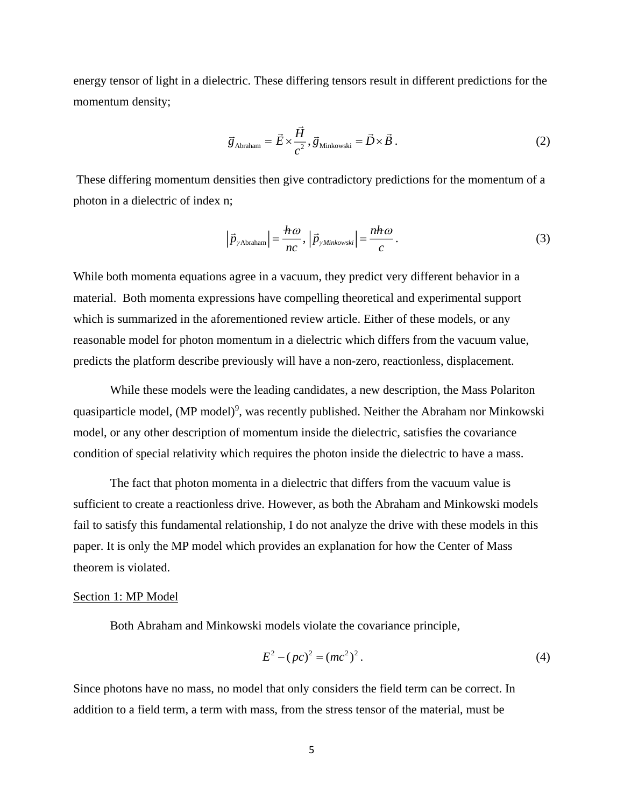energy tensor of light in a dielectric. These differing tensors result in different predictions for the momentum density;

$$
\vec{g}_{\text{Abraham}} = \vec{E} \times \frac{\vec{H}}{c^2}, \vec{g}_{\text{Minkowski}} = \vec{D} \times \vec{B} \,. \tag{2}
$$

These differing momentum densities then give contradictory predictions for the momentum of a photon in a dielectric of index n;

$$
\left|\vec{p}_{\gamma \text{Abraham}}\right| = \frac{\hbar \omega}{nc}, \left|\vec{p}_{\gamma \text{Minkowski}}\right| = \frac{n\hbar \omega}{c}.
$$
 (3)

While both momenta equations agree in a vacuum, they predict very different behavior in a material. Both momenta expressions have compelling theoretical and experimental support which is summarized in the aforementioned review article. Either of these models, or any reasonable model for photon momentum in a dielectric which differs from the vacuum value, predicts the platform describe previously will have a non-zero, reactionless, displacement.

While these models were the leading candidates, a new description, the Mass Polariton quasiparticle model, (MP model)<sup>9</sup>, was recently published. Neither the Abraham nor Minkowski model, or any other description of momentum inside the dielectric, satisfies the covariance condition of special relativity which requires the photon inside the dielectric to have a mass.

The fact that photon momenta in a dielectric that differs from the vacuum value is sufficient to create a reactionless drive. However, as both the Abraham and Minkowski models fail to satisfy this fundamental relationship, I do not analyze the drive with these models in this paper. It is only the MP model which provides an explanation for how the Center of Mass theorem is violated.

#### Section 1: MP Model

Both Abraham and Minkowski models violate the covariance principle,

$$
E2 - (pc)2 = (mc2)2.
$$
 (4)

Since photons have no mass, no model that only considers the field term can be correct. In addition to a field term, a term with mass, from the stress tensor of the material, must be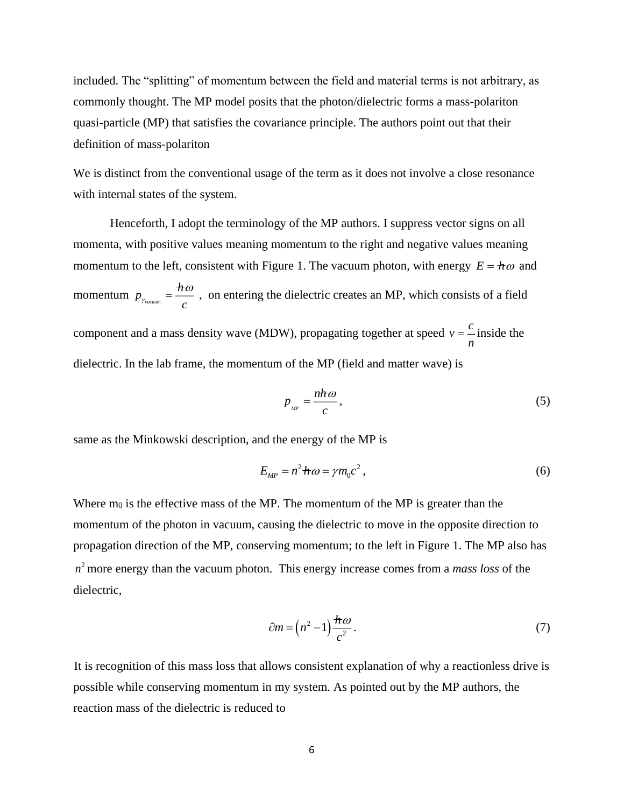included. The "splitting" of momentum between the field and material terms is not arbitrary, as commonly thought. The MP model posits that the photon/dielectric forms a mass-polariton quasi-particle (MP) that satisfies the covariance principle. The authors point out that their definition of mass-polariton

We is distinct from the conventional usage of the term as it does not involve a close resonance with internal states of the system.

Henceforth, I adopt the terminology of the MP authors. I suppress vector signs on all momenta, with positive values meaning momentum to the right and negative values meaning momentum to the left, consistent with Figure 1. The vacuum photon, with energy  $E = h\omega$  and momentum *vacuum h*  $p_{_{\gamma_{vacuum}}} = -\frac{1}{c}$  $=\frac{\pi\omega}{\omega}$ , on entering the dielectric creates an MP, which consists of a field component and a mass density wave (MDW), propagating together at speed  $v = \frac{c}{c}$  inside the *n* dielectric. In the lab frame, the momentum of the MP (field and matter wave) is

$$
p_{_{MP}} = \frac{n\hbar\omega}{c},\tag{5}
$$

same as the Minkowski description, and the energy of the MP is

$$
E_{MP} = n^2 \hbar \omega = \gamma m_0 c^2, \qquad (6)
$$

Where m<sub>0</sub> is the effective mass of the MP. The momentum of the MP is greater than the momentum of the photon in vacuum, causing the dielectric to move in the opposite direction to propagation direction of the MP, conserving momentum; to the left in Figure 1. The MP also has 2 *n* more energy than the vacuum photon. This energy increase comes from a *mass loss* of the dielectric,

$$
\partial m = \left(n^2 - 1\right) \frac{h\omega}{c^2}.\tag{7}
$$

It is recognition of this mass loss that allows consistent explanation of why a reactionless drive is possible while conserving momentum in my system. As pointed out by the MP authors, the reaction mass of the dielectric is reduced to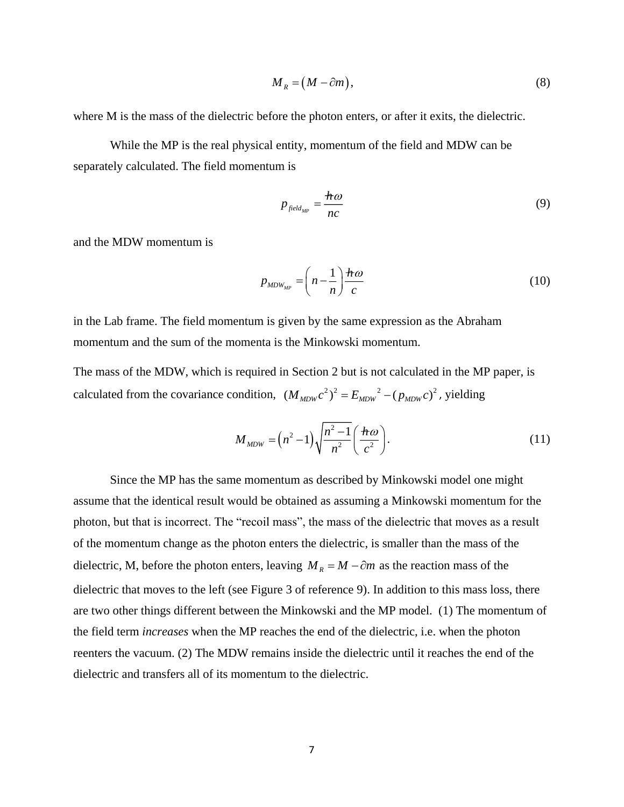$$
M_R = (M - \partial m),\tag{8}
$$

where M is the mass of the dielectric before the photon enters, or after it exits, the dielectric.

While the MP is the real physical entity, momentum of the field and MDW can be separately calculated. The field momentum is

$$
p_{\text{field}_{MP}} = \frac{h\omega}{nc} \tag{9}
$$

and the MDW momentum is

$$
p_{MDW_{MP}} = \left(n - \frac{1}{n}\right) \frac{h\omega}{c}
$$
 (10)

in the Lab frame. The field momentum is given by the same expression as the Abraham momentum and the sum of the momenta is the Minkowski momentum.

The mass of the MDW, which is required in Section 2 but is not calculated in the MP paper, is calculated from the covariance condition,  $(M_{MDW}c^2)^2 = E_{MDW}^2 - (p_{MDW}c)^2$ , yielding

$$
M_{MDW} = \left(n^2 - 1\right) \sqrt{\frac{n^2 - 1}{n^2}} \left(\frac{\hbar \omega}{c^2}\right). \tag{11}
$$

Since the MP has the same momentum as described by Minkowski model one might assume that the identical result would be obtained as assuming a Minkowski momentum for the photon, but that is incorrect. The "recoil mass", the mass of the dielectric that moves as a result of the momentum change as the photon enters the dielectric, is smaller than the mass of the dielectric, M, before the photon enters, leaving  $M_R = M - \partial m$  as the reaction mass of the dielectric that moves to the left (see Figure 3 of reference 9). In addition to this mass loss, there are two other things different between the Minkowski and the MP model. (1) The momentum of the field term *increases* when the MP reaches the end of the dielectric, i.e. when the photon reenters the vacuum. (2) The MDW remains inside the dielectric until it reaches the end of the dielectric and transfers all of its momentum to the dielectric.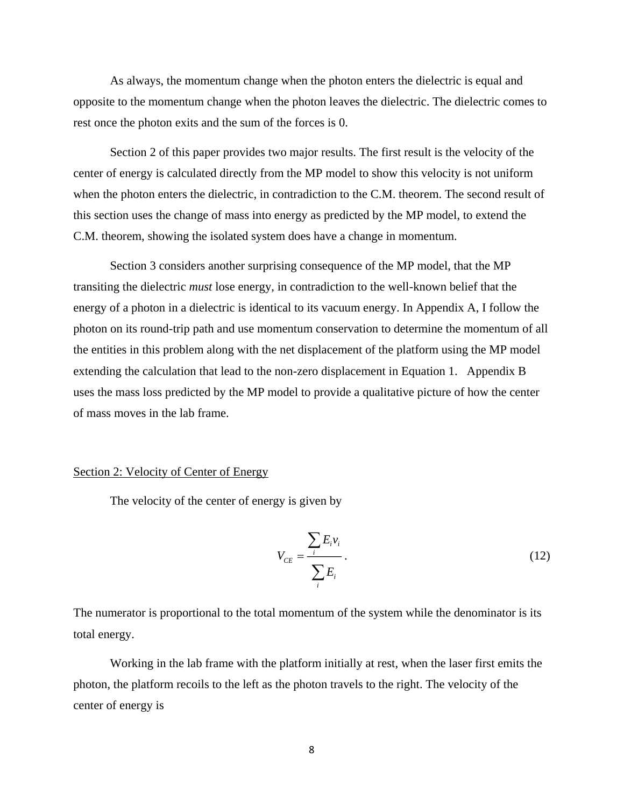As always, the momentum change when the photon enters the dielectric is equal and opposite to the momentum change when the photon leaves the dielectric. The dielectric comes to rest once the photon exits and the sum of the forces is 0.

Section 2 of this paper provides two major results. The first result is the velocity of the center of energy is calculated directly from the MP model to show this velocity is not uniform when the photon enters the dielectric, in contradiction to the C.M. theorem. The second result of this section uses the change of mass into energy as predicted by the MP model, to extend the C.M. theorem, showing the isolated system does have a change in momentum.

Section 3 considers another surprising consequence of the MP model, that the MP transiting the dielectric *must* lose energy, in contradiction to the well-known belief that the energy of a photon in a dielectric is identical to its vacuum energy. In Appendix A, I follow the photon on its round-trip path and use momentum conservation to determine the momentum of all the entities in this problem along with the net displacement of the platform using the MP model extending the calculation that lead to the non-zero displacement in Equation 1. Appendix B uses the mass loss predicted by the MP model to provide a qualitative picture of how the center of mass moves in the lab frame.

### Section 2: Velocity of Center of Energy

The velocity of the center of energy is given by

$$
V_{CE} = \frac{\sum_{i} E_{i} v_{i}}{\sum_{i} E_{i}}.
$$
\n(12)

The numerator is proportional to the total momentum of the system while the denominator is its total energy.

Working in the lab frame with the platform initially at rest, when the laser first emits the photon, the platform recoils to the left as the photon travels to the right. The velocity of the center of energy is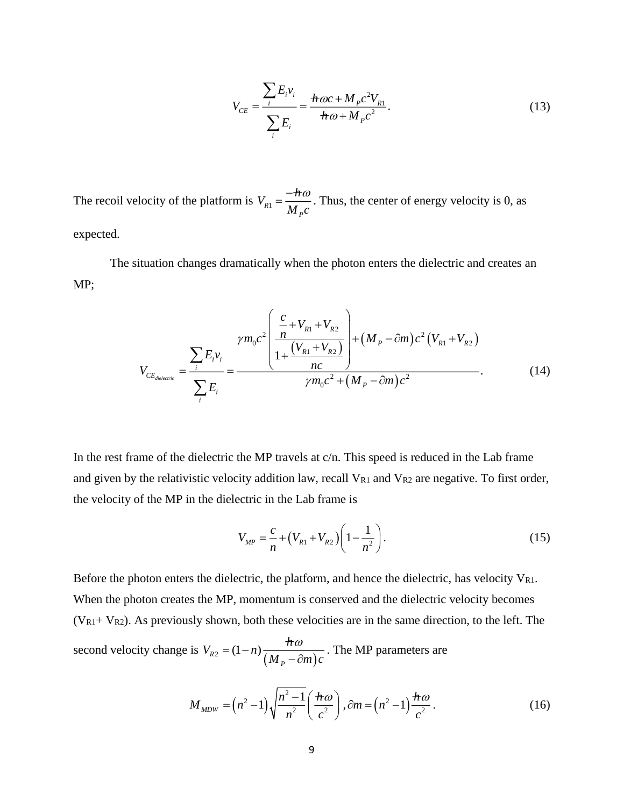$$
V_{CE} = \frac{\sum_{i} E_{i} v_{i}}{\sum_{i} E_{i}} = \frac{\hbar \omega c + M_{p} c^{2} V_{R1}}{\hbar \omega + M_{p} c^{2}}.
$$
\n(13)

The recoil velocity of the platform is  $V_{R1}$ *P*  $V_{\text{av}} = \frac{-\hbar}{\sqrt{\hbar}}$  $M$   $\mathit{c}$  $=\frac{-\pi\omega}{\pi}$ . Thus, the center of energy velocity is 0, as expected.

The situation changes dramatically when the photon enters the dielectric and creates an MP;

$$
V_{CE_{dielectric}} = \frac{\sum_{i} E_{i} v_{i}}{\sum_{i} E_{i}} = \frac{\gamma m_{0} c^{2} \left( \frac{c}{n} + V_{R1} + V_{R2}}{1 + \frac{(V_{R1} + V_{R2})}{n c}} \right) + (M_{P} - \partial m) c^{2} (V_{R1} + V_{R2})}{\gamma m_{0} c^{2} + (M_{P} - \partial m) c^{2}}.
$$
(14)

In the rest frame of the dielectric the MP travels at c/n. This speed is reduced in the Lab frame and given by the relativistic velocity addition law, recall VR1 and VR2 are negative. To first order, the velocity of the MP in the dielectric in the Lab frame is

$$
V_{MP} = \frac{c}{n} + (V_{R1} + V_{R2}) \left( 1 - \frac{1}{n^2} \right). \tag{15}
$$

Before the photon enters the dielectric, the platform, and hence the dielectric, has velocity  $V_{R1}$ . When the photon creates the MP, momentum is conserved and the dielectric velocity becomes  $(V_{R1}+ V_{R2})$ . As previously shown, both these velocities are in the same direction, to the left. The second velocity change is  $\sum_{R2}^r = (1 - n) \frac{n \omega}{\left(M_p - \partial m\right)}$ *P*  $V_{n_0} = (1 - n) \frac{h}{h}$  $M<sub>n</sub> - \partial m$ ) c  $= (1-n)\frac{\pi\omega}{(M - \partial m)c}$ . The MP parameters are

$$
M_{MDW} = \left(n^2 - 1\right) \sqrt{\frac{n^2 - 1}{n^2}} \left(\frac{\hbar \omega}{c^2}\right), \partial m = \left(n^2 - 1\right) \frac{\hbar \omega}{c^2}.
$$
 (16)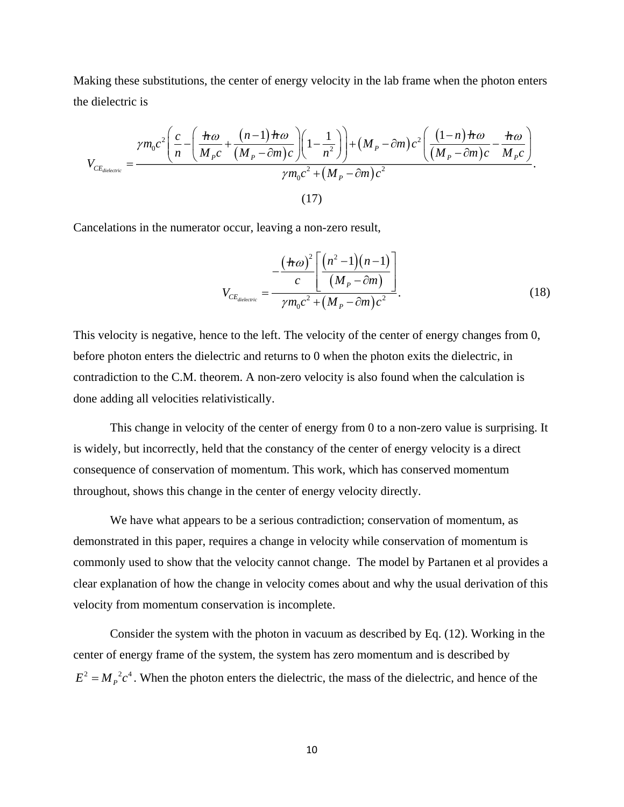Making these substitutions, the center of energy velocity in the lab frame when the photon enters the dielectric is

$$
V_{CE_{dielectric}} = \frac{\gamma m_0 c^2 \left(\frac{c}{n} - \left(\frac{h\omega}{M_p c} + \frac{(n-1)h\omega}{(M_p - \partial m)c}\right)\left(1 - \frac{1}{n^2}\right)\right) + (M_p - \partial m)c^2 \left(\frac{(1-n)h\omega}{(M_p - \partial m)c} - \frac{h\omega}{M_p c}\right)}{\gamma m_0 c^2 + (M_p - \partial m)c^2}.
$$
\n(17)

Cancelations in the numerator occur, leaving a non-zero result,

$$
V_{CE_{dielectric}} = \frac{-\frac{(\hbar \omega)^2}{c} \left[ \frac{(n^2 - 1)(n - 1)}{(M_P - \partial m)} \right]}{\gamma m_0 c^2 + (M_P - \partial m) c^2}.
$$
(18)

This velocity is negative, hence to the left. The velocity of the center of energy changes from 0, before photon enters the dielectric and returns to 0 when the photon exits the dielectric, in contradiction to the C.M. theorem. A non-zero velocity is also found when the calculation is done adding all velocities relativistically.

This change in velocity of the center of energy from 0 to a non-zero value is surprising. It is widely, but incorrectly, held that the constancy of the center of energy velocity is a direct consequence of conservation of momentum. This work, which has conserved momentum throughout, shows this change in the center of energy velocity directly.

We have what appears to be a serious contradiction; conservation of momentum, as demonstrated in this paper, requires a change in velocity while conservation of momentum is commonly used to show that the velocity cannot change. The model by Partanen et al provides a clear explanation of how the change in velocity comes about and why the usual derivation of this velocity from momentum conservation is incomplete.

Consider the system with the photon in vacuum as described by Eq. (12). Working in the center of energy frame of the system, the system has zero momentum and is described by  $E^2 = M_p^2 c^4$ . When the photon enters the dielectric, the mass of the dielectric, and hence of the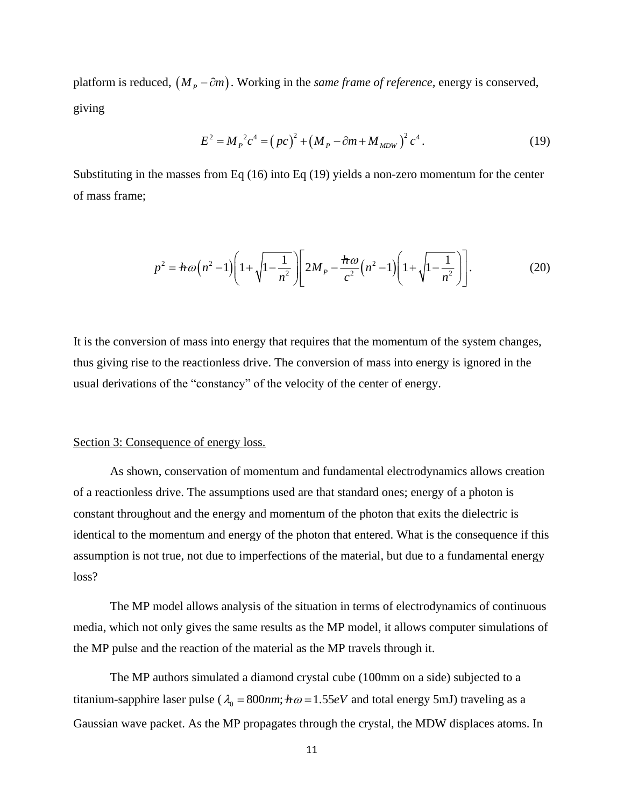platform is reduced,  $(M_p - \partial m)$ . Working in the *same frame of reference*, energy is conserved, giving

$$
E^{2} = M_{P}^{2} c^{4} = (pc)^{2} + (M_{P} - \partial m + M_{MDW})^{2} c^{4}. \qquad (19)
$$

Substituting in the masses from Eq (16) into Eq (19) yields a non-zero momentum for the center of mass frame;

$$
p^{2} = \hbar \omega (n^{2} - 1) \left( 1 + \sqrt{1 - \frac{1}{n^{2}}} \right) \left[ 2M_{P} - \frac{\hbar \omega}{c^{2}} (n^{2} - 1) \left( 1 + \sqrt{1 - \frac{1}{n^{2}}} \right) \right].
$$
 (20)

It is the conversion of mass into energy that requires that the momentum of the system changes, thus giving rise to the reactionless drive. The conversion of mass into energy is ignored in the usual derivations of the "constancy" of the velocity of the center of energy.

#### Section 3: Consequence of energy loss.

As shown, conservation of momentum and fundamental electrodynamics allows creation of a reactionless drive. The assumptions used are that standard ones; energy of a photon is constant throughout and the energy and momentum of the photon that exits the dielectric is identical to the momentum and energy of the photon that entered. What is the consequence if this assumption is not true, not due to imperfections of the material, but due to a fundamental energy loss?

The MP model allows analysis of the situation in terms of electrodynamics of continuous media, which not only gives the same results as the MP model, it allows computer simulations of the MP pulse and the reaction of the material as the MP travels through it.

The MP authors simulated a diamond crystal cube (100mm on a side) subjected to a titanium-sapphire laser pulse ( $\lambda_0 = 800$ *nm*;  $\hbar \omega = 1.55$ *eV* and total energy 5mJ) traveling as a Gaussian wave packet. As the MP propagates through the crystal, the MDW displaces atoms. In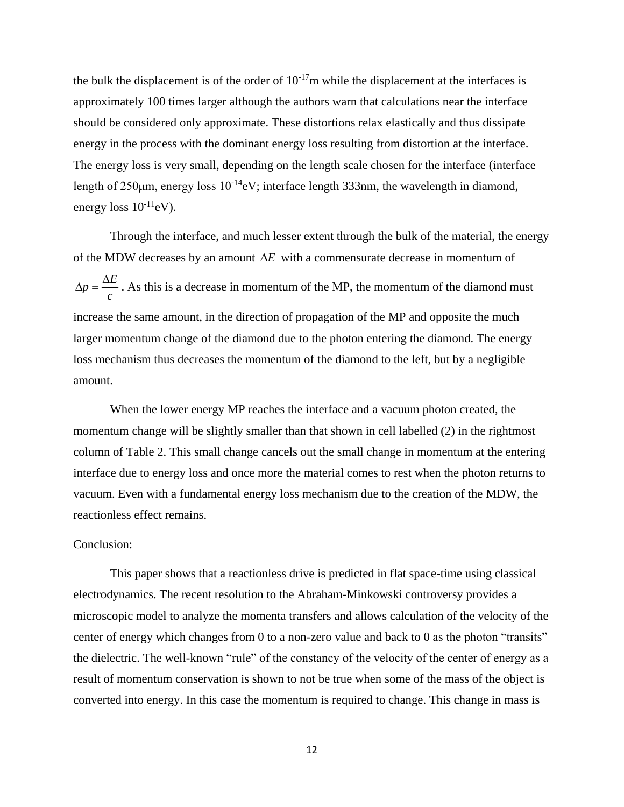the bulk the displacement is of the order of  $10^{-17}$ m while the displacement at the interfaces is approximately 100 times larger although the authors warn that calculations near the interface should be considered only approximate. These distortions relax elastically and thus dissipate energy in the process with the dominant energy loss resulting from distortion at the interface. The energy loss is very small, depending on the length scale chosen for the interface (interface length of  $250\mu$ m, energy loss  $10^{-14}$ eV; interface length 333nm, the wavelength in diamond, energy loss  $10^{-11}$ eV).

Through the interface, and much lesser extent through the bulk of the material, the energy of the MDW decreases by an amount  $\Delta E$  with a commensurate decrease in momentum of *E p c*  $\Delta p = \frac{\Delta E}{\Delta p}$ . As this is a decrease in momentum of the MP, the momentum of the diamond must increase the same amount, in the direction of propagation of the MP and opposite the much larger momentum change of the diamond due to the photon entering the diamond. The energy loss mechanism thus decreases the momentum of the diamond to the left, but by a negligible amount.

When the lower energy MP reaches the interface and a vacuum photon created, the momentum change will be slightly smaller than that shown in cell labelled (2) in the rightmost column of Table 2. This small change cancels out the small change in momentum at the entering interface due to energy loss and once more the material comes to rest when the photon returns to vacuum. Even with a fundamental energy loss mechanism due to the creation of the MDW, the reactionless effect remains.

### Conclusion:

This paper shows that a reactionless drive is predicted in flat space-time using classical electrodynamics. The recent resolution to the Abraham-Minkowski controversy provides a microscopic model to analyze the momenta transfers and allows calculation of the velocity of the center of energy which changes from 0 to a non-zero value and back to 0 as the photon "transits" the dielectric. The well-known "rule" of the constancy of the velocity of the center of energy as a result of momentum conservation is shown to not be true when some of the mass of the object is converted into energy. In this case the momentum is required to change. This change in mass is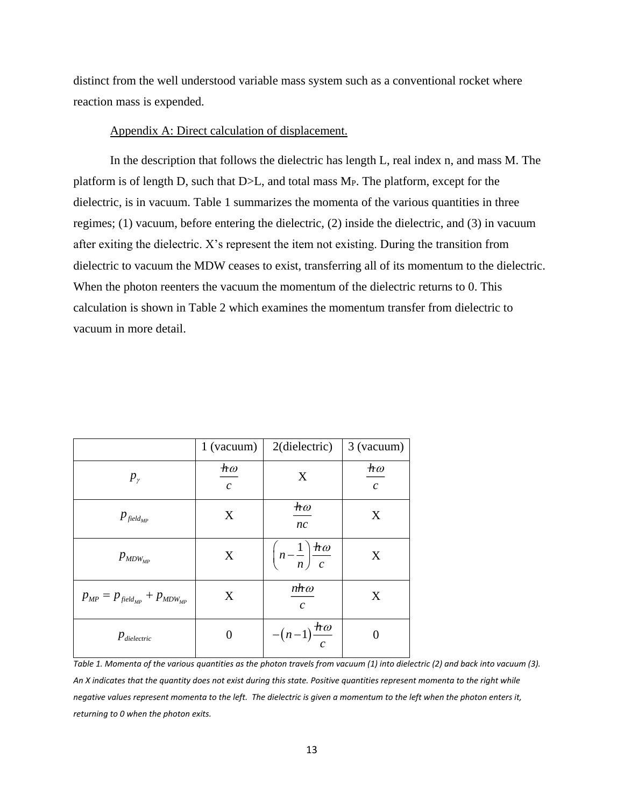distinct from the well understood variable mass system such as a conventional rocket where reaction mass is expended.

## Appendix A: Direct calculation of displacement.

In the description that follows the dielectric has length L, real index n, and mass M. The platform is of length D, such that D>L, and total mass MP. The platform, except for the dielectric, is in vacuum. Table 1 summarizes the momenta of the various quantities in three regimes; (1) vacuum, before entering the dielectric, (2) inside the dielectric, and (3) in vacuum after exiting the dielectric. X's represent the item not existing. During the transition from dielectric to vacuum the MDW ceases to exist, transferring all of its momentum to the dielectric. When the photon reenters the vacuum the momentum of the dielectric returns to 0. This calculation is shown in Table 2 which examines the momentum transfer from dielectric to vacuum in more detail.

|                                          | $1$ (vacuum)                                                       | $2$ (dielectric)                                             | 3 (vacuum)                                                              |
|------------------------------------------|--------------------------------------------------------------------|--------------------------------------------------------------|-------------------------------------------------------------------------|
| $p_{\gamma}$                             | $\boldsymbol{\mathcal{H}}\boldsymbol{\mathit{o}}$<br>$\mathcal{C}$ | X                                                            | $\boldsymbol{\mathcal{H}}\boldsymbol{\mathit{\omega}}$<br>$\mathcal{C}$ |
| $p_{\scriptscriptstyle\it field_{MP}}$   | X                                                                  | $\boldsymbol{\mathcal{H}}\boldsymbol{\mathit{\omega}}$<br>nc | X                                                                       |
| $p_{MDW_{MP}}$                           | X                                                                  | $\left(n-\frac{1}{n}\right)\frac{\hbar\omega}{c}$            | X                                                                       |
| $p_{MP} = p_{field_{MP}} + p_{MDW_{MP}}$ | X                                                                  | $n \hbar \omega$<br>$\mathcal{C}_{\mathcal{C}}$              | X                                                                       |
| $p_{\textit{dielectric}}$                | 0                                                                  | $-(n-1)\frac{h\omega}{\omega}$                               |                                                                         |

*Table 1. Momenta of the various quantities as the photon travels from vacuum (1) into dielectric (2) and back into vacuum (3). An X indicates that the quantity does not exist during this state. Positive quantities represent momenta to the right while negative values represent momenta to the left. The dielectric is given a momentum to the left when the photon enters it, returning to 0 when the photon exits.*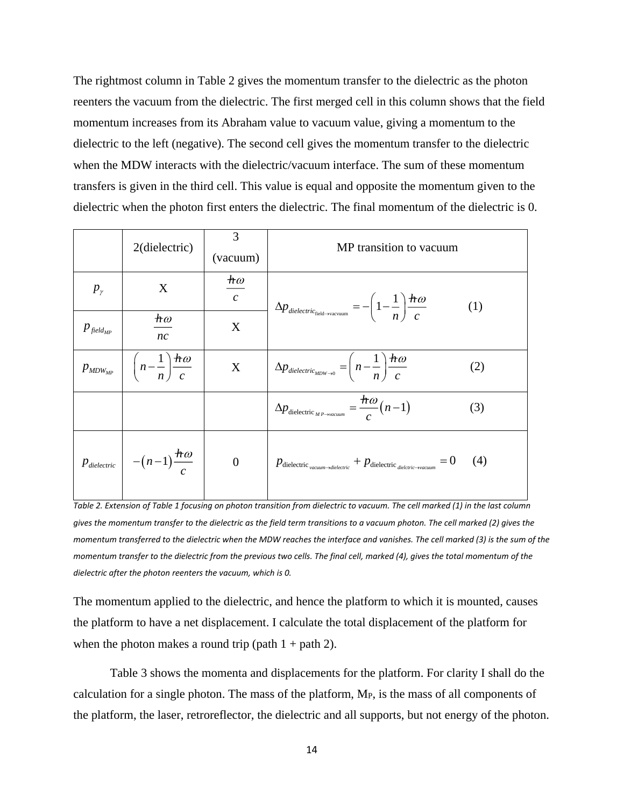The rightmost column in Table 2 gives the momentum transfer to the dielectric as the photon reenters the vacuum from the dielectric. The first merged cell in this column shows that the field momentum increases from its Abraham value to vacuum value, giving a momentum to the dielectric to the left (negative). The second cell gives the momentum transfer to the dielectric when the MDW interacts with the dielectric/vacuum interface. The sum of these momentum transfers is given in the third cell. This value is equal and opposite the momentum given to the dielectric when the photon first enters the dielectric. The final momentum of the dielectric is 0.

|                                              | 2(dielectric)                                            | 3<br>(vacuum)                       | MP transition to vacuum                                                                                                                                |
|----------------------------------------------|----------------------------------------------------------|-------------------------------------|--------------------------------------------------------------------------------------------------------------------------------------------------------|
| $p_{\gamma}$                                 | X                                                        | $\bm{\mathit{ho}}$<br>$\mathcal{C}$ | $\Delta p_{\textit{dielectric}_{\text{field}\rightarrow\text{vacuum}}} = - \bigg(1-\frac{1}{n}\bigg)\frac{\hbar\omega}{c}$<br>(1)                      |
| $p_{\scriptscriptstyle\it field_{\rm MP}}$   | $\boldsymbol{\hbar}\boldsymbol{\omega}$<br>nc            | X                                   |                                                                                                                                                        |
| $p_{\textit{\tiny MDW}_{\textit{\tiny MP}}}$ | $\left(n-\frac{1}{n}\right)\frac{h\omega}{c}$            | X                                   | $\Delta p_{\text{dielectric}_{MDW\rightarrow 0}} = \left(n - \frac{1}{n}\right) \frac{\hbar \omega}{c}$<br>(2)                                         |
|                                              |                                                          |                                     | $\Delta p_{\text{dielectric}_{MP\rightarrow vacuum}} = \frac{\hbar \omega}{c} (n-1)$<br>(3)                                                            |
|                                              | $p_{\text{dielectric}}$ $- (n-1) \frac{\hbar \omega}{c}$ | $\overline{0}$                      | $= 0$<br>(4)<br>$p_{\text{dielectric}_{\text{vacuum}\rightarrow\text{dielectric}} + p_{\text{dielectric}_{\text{dielectric}\rightarrow\text{vacuum}}}$ |

*Table 2. Extension of Table 1 focusing on photon transition from dielectric to vacuum. The cell marked (1) in the last column gives the momentum transfer to the dielectric as the field term transitions to a vacuum photon. The cell marked (2) gives the momentum transferred to the dielectric when the MDW reaches the interface and vanishes. The cell marked (3) is the sum of the momentum transfer to the dielectric from the previous two cells. The final cell, marked (4), gives the total momentum of the dielectric after the photon reenters the vacuum, which is 0.*

The momentum applied to the dielectric, and hence the platform to which it is mounted, causes the platform to have a net displacement. I calculate the total displacement of the platform for when the photon makes a round trip (path  $1 +$  path 2).

Table 3 shows the momenta and displacements for the platform. For clarity I shall do the calculation for a single photon. The mass of the platform, MP, is the mass of all components of the platform, the laser, retroreflector, the dielectric and all supports, but not energy of the photon.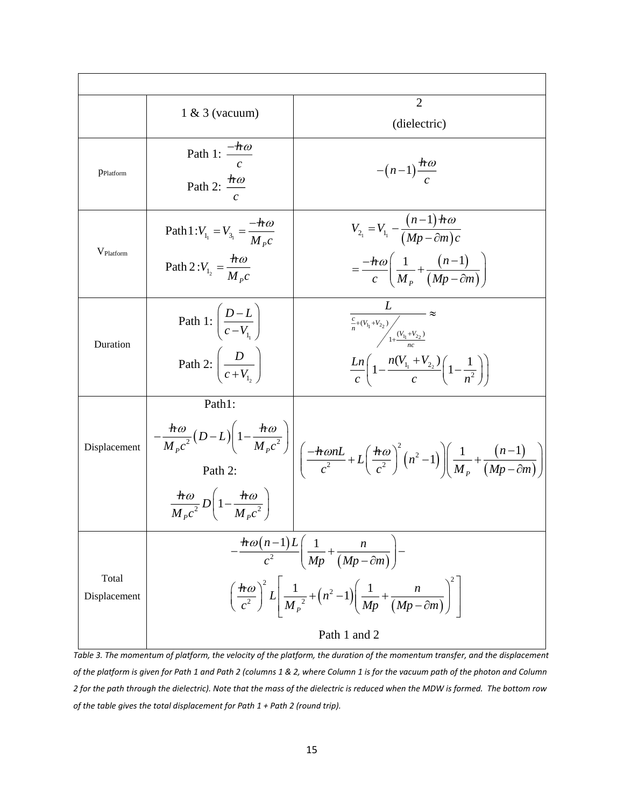|                       | $1 & 3$ (vacuum)                                                                                                                                                                                                                                      | $\overline{2}$<br>(dielectric)                                                                                                                                                                                                                          |
|-----------------------|-------------------------------------------------------------------------------------------------------------------------------------------------------------------------------------------------------------------------------------------------------|---------------------------------------------------------------------------------------------------------------------------------------------------------------------------------------------------------------------------------------------------------|
| PPlatform             | Path 1: $\frac{-\hbar\omega}{\sqrt{\frac{2\pi}{c^2}}}$<br>Path 2: $\frac{h\omega}{\sqrt{2h}}$                                                                                                                                                         | $-(n-1)\frac{\pi\omega}{a}$                                                                                                                                                                                                                             |
| V <sub>Platform</sub> | Path 1: $V_{1_1} = V_{3_1} = \frac{-\pi \omega}{M_{p}c}$<br>Path 2: $V_{1_2} = \frac{h\omega}{M_{p}c}$                                                                                                                                                | $V_{2_1} = V_{1_1} - \frac{(n-1) \pi \omega}{(Mp - \partial m)c}$<br>$=\frac{-\hbar\omega}{c}\left(\frac{1}{M_{\rm p}}+\frac{(n-1)}{(Mp-\partial m)}\right)$                                                                                            |
| Duration              | Path 1: $\left(\frac{D-L}{c-V_1}\right)$<br>Path 2: $\left(\frac{D}{c+V_1}\right)$                                                                                                                                                                    | $\frac{L}{\frac{c}{n}+(V_{l_1}+V_{2_2})}{\sqrt{\frac{c_1+(V_{l_1}+V_{2_2})}{n c}}} \approx$<br>$\frac{Ln}{c}\left(1-\frac{n(V_{l_1}+V_{2_2})}{c}\left(1-\frac{1}{n^2}\right)\right)$                                                                    |
| Displacement          | Path1:<br>$\frac{\hbar\omega}{M c^2}D\left(1-\frac{\hbar\omega}{M c^2}\right)$                                                                                                                                                                        | $-\frac{\hbar\omega}{M_{p}c^{2}}(D-L)\left(1-\frac{\hbar\omega}{M_{p}c^{2}}\right)\left(\frac{-\hbar\omega nL}{c^{2}}+L\left(\frac{\hbar\omega}{c^{2}}\right)^{2}\left(n^{2}-1\right)\right)\left(\frac{1}{M_{p}}+\frac{(n-1)}{(Mp-\partial m)}\right)$ |
| Total<br>Displacement | $-\frac{\hbar\omega(n-1)L}{c^2}\left(\frac{1}{Mp}+\frac{n}{(Mp-\partial m)}\right)$<br>$\left(\frac{\hbar\omega}{c^2}\right)^2 L\left(\frac{1}{M_p^2}+\left(n^2-1\right)\left(\frac{1}{Mp}+\frac{n}{(Mp-\partial m)}\right)^2\right)$<br>Path 1 and 2 |                                                                                                                                                                                                                                                         |

*Table 3. The momentum of platform, the velocity of the platform, the duration of the momentum transfer, and the displacement of the platform is given for Path 1 and Path 2 (columns 1 & 2, where Column 1 is for the vacuum path of the photon and Column 2 for the path through the dielectric). Note that the mass of the dielectric is reduced when the MDW is formed. The bottom row of the table gives the total displacement for Path 1 + Path 2 (round trip).*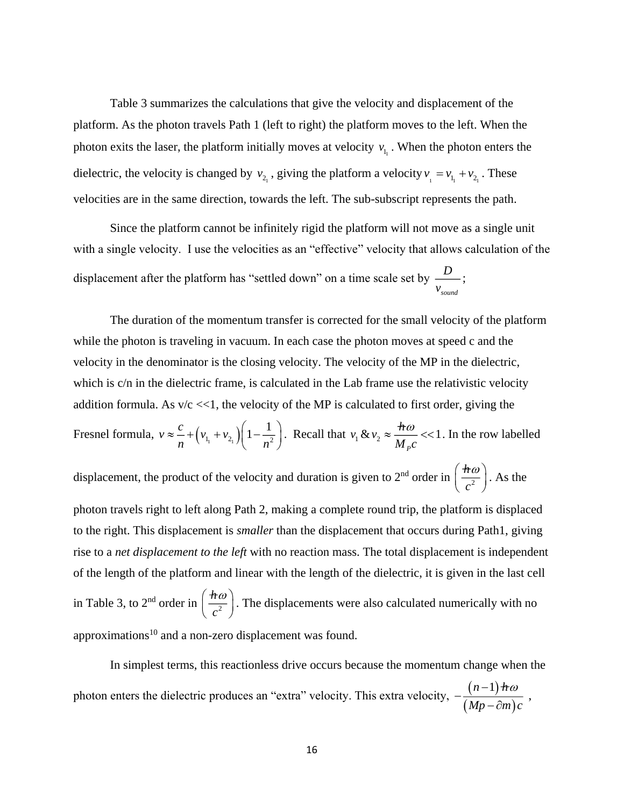Table 3 summarizes the calculations that give the velocity and displacement of the platform. As the photon travels Path 1 (left to right) the platform moves to the left. When the photon exits the laser, the platform initially moves at velocity  $v_{l_1}$ . When the photon enters the dielectric, the velocity is changed by  $v_{2}$ , giving the platform a velocity  $v_1 = v_{1} + v_{2}$ . These velocities are in the same direction, towards the left. The sub-subscript represents the path.

Since the platform cannot be infinitely rigid the platform will not move as a single unit with a single velocity. I use the velocities as an "effective" velocity that allows calculation of the displacement after the platform has "settled down" on a time scale set by *D sound v* ;

The duration of the momentum transfer is corrected for the small velocity of the platform while the photon is traveling in vacuum. In each case the photon moves at speed c and the velocity in the denominator is the closing velocity. The velocity of the MP in the dielectric, which is c/n in the dielectric frame, is calculated in the Lab frame use the relativistic velocity addition formula. As  $v/c \ll 1$ , the velocity of the MP is calculated to first order, giving the Fresnel formula,  $v \approx \frac{c}{n} + (v_{1_1} + v_{2_1}) \left(1 - \frac{1}{n^2}\right)$  $v \approx \frac{c}{1 + (v_{1_1} + v_{2_1})} \left(1 - \frac{1}{2}\right)$  $\frac{1}{n} + (v_{1_1} + v_{2_1}) \left(1 - \frac{1}{n_1}\right)$  $\approx \frac{c}{n} + \left(v_{1_1} + v_{2_1}\right)\left(1 - \frac{1}{n^2}\right)$ . Recall that  $v_1 \& v_2 \approx \frac{h\omega}{M_p c} << 1$ *P*  $v_1 \& v_2 \approx \frac{h \omega}{M_c c}$  $\approx \frac{\pi \omega}{\pi}$  <<1. In the row labelled displacement, the product of the velocity and duration is given to  $2<sup>nd</sup>$  order in  $\frac{hc}{c^2}$ *h c*  $(\,\pi\omega\,)$  $\left(\frac{nv}{c^2}\right)$ . As the photon travels right to left along Path 2, making a complete round trip, the platform is displaced to the right. This displacement is *smaller* than the displacement that occurs during Path1, giving rise to a *net displacement to the left* with no reaction mass. The total displacement is independent of the length of the platform and linear with the length of the dielectric, it is given in the last cell in Table 3, to 2<sup>nd</sup> order in  $\frac{hc}{2}$ *h c*  $(h\omega)$  $\left(\frac{nw}{c^2}\right)$ . The displacements were also calculated numerically with no approximations $10$  and a non-zero displacement was found.

In simplest terms, this reactionless drive occurs because the momentum change when the photon enters the dielectric produces an "extra" velocity. This extra velocity,  $-\frac{(n-1)}{(n-1)}$  $(Mp - \partial m)$  $n-1)$   $\hbar$ *Mp* –  $\partial m$  )  $c$  $-\frac{(n-1)\pi\omega}{(Mp-\partial m)c}$ ,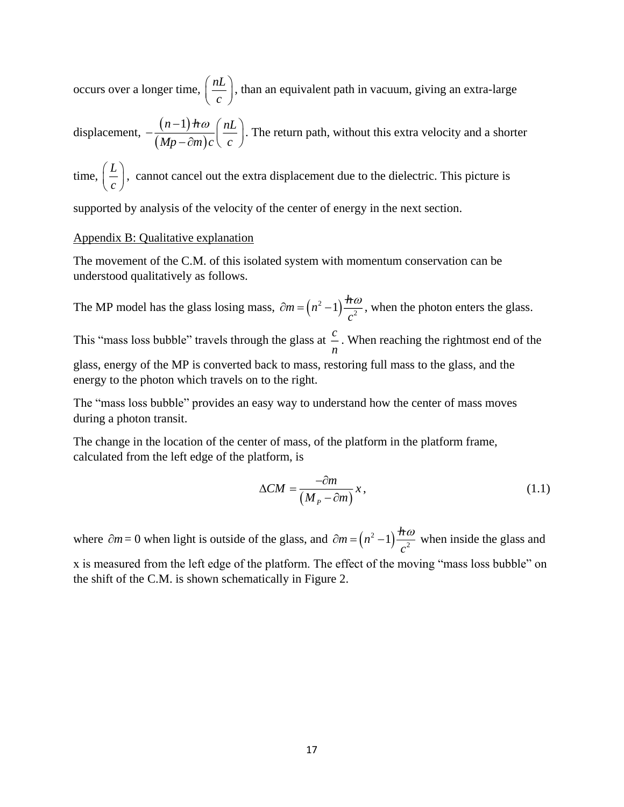occurs over a longer time,  $\left( \frac{nL}{L} \right)$  $\left(\frac{nL}{c}\right)$ , than an equivalent path in vacuum, giving an extra-large

displacement,  $-\frac{(n-1)}{(n-1)}$  $(Mp - \partial m)$ *n*-1)  $\frac{1}{2}$  *nD* (*nL*  $Mp - \partial m$ )c $\langle c \rangle$  $-\frac{(n-1)\hbar\omega}{(Mp-\partial m)c}\left(\frac{nL}{c}\right)$ . The return path, without this extra velocity and a shorter

time,  $\left( \frac{L}{L} \right)$  $\left(\frac{L}{c}\right)$ , cannot cancel out the extra displacement due to the dielectric. This picture is

supported by analysis of the velocity of the center of energy in the next section.

## Appendix B: Qualitative explanation

The movement of the C.M. of this isolated system with momentum conservation can be understood qualitatively as follows.

The MP model has the glass losing mass,  $\partial m = (n^2 - 1)$ .  $m = (n^2 - 1) \frac{h \omega}{n^2}$ *c*  $\partial m = (n^2 - 1) \frac{\pi \omega}{2}$ , when the photon enters the glass. This "mass loss bubble" travels through the glass at *c n* . When reaching the rightmost end of the glass, energy of the MP is converted back to mass, restoring full mass to the glass, and the energy to the photon which travels on to the right.

The "mass loss bubble" provides an easy way to understand how the center of mass moves during a photon transit.

The change in the location of the center of mass, of the platform in the platform frame, calculated from the left edge of the platform, is

$$
\Delta CM = \frac{-\partial m}{\left(M_P - \partial m\right)} x,\tag{1.1}
$$

where  $\partial m = 0$  when light is outside of the glass, and  $\partial m = (n^2 - 1)$ .  $m = (n^2 - 1) \frac{h \omega}{r^2}$ *c*  $\partial m = (n^2 - 1) \frac{\hbar \omega}{2}$  when inside the glass and x is measured from the left edge of the platform. The effect of the moving "mass loss bubble" on the shift of the C.M. is shown schematically in Figure 2.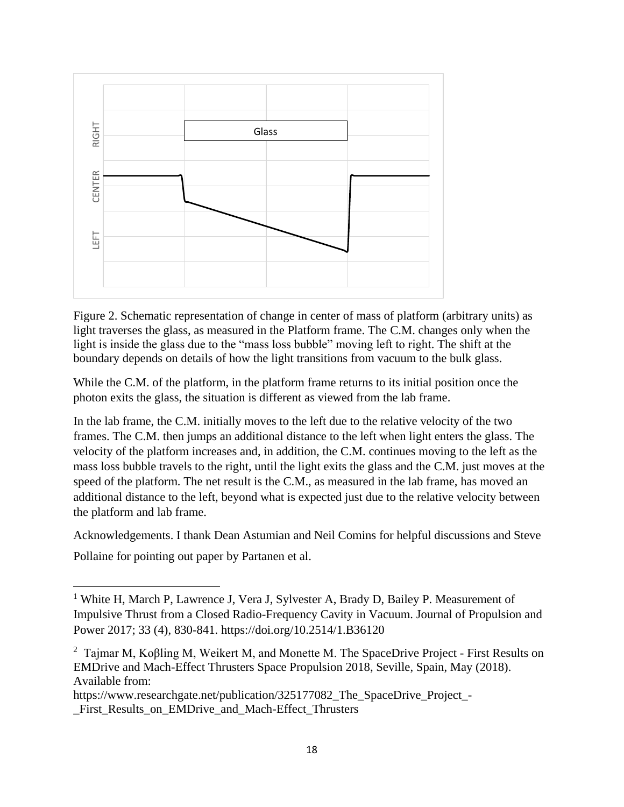

Figure 2. Schematic representation of change in center of mass of platform (arbitrary units) as light traverses the glass, as measured in the Platform frame. The C.M. changes only when the light is inside the glass due to the "mass loss bubble" moving left to right. The shift at the boundary depends on details of how the light transitions from vacuum to the bulk glass.

While the C.M. of the platform, in the platform frame returns to its initial position once the photon exits the glass, the situation is different as viewed from the lab frame.

In the lab frame, the C.M. initially moves to the left due to the relative velocity of the two frames. The C.M. then jumps an additional distance to the left when light enters the glass. The velocity of the platform increases and, in addition, the C.M. continues moving to the left as the mass loss bubble travels to the right, until the light exits the glass and the C.M. just moves at the speed of the platform. The net result is the C.M., as measured in the lab frame, has moved an additional distance to the left, beyond what is expected just due to the relative velocity between the platform and lab frame.

Acknowledgements. I thank Dean Astumian and Neil Comins for helpful discussions and Steve

Pollaine for pointing out paper by Partanen et al.

https://www.researchgate.net/publication/325177082 The SpaceDrive Project -First Results on EMDrive and Mach-Effect Thrusters

<sup>&</sup>lt;sup>1</sup> White H, March P, Lawrence J, Vera J, Sylvester A, Brady D, Bailey P. Measurement of Impulsive Thrust from a Closed Radio-Frequency Cavity in Vacuum. Journal of Propulsion and Power 2017; 33 (4), 830-841. https://doi.org/10.2514/1.B36120

<sup>&</sup>lt;sup>2</sup> Tajmar M, Koβling M, Weikert M, and Monette M. The SpaceDrive Project - First Results on EMDrive and Mach-Effect Thrusters Space Propulsion 2018, Seville, Spain, May (2018). Available from: